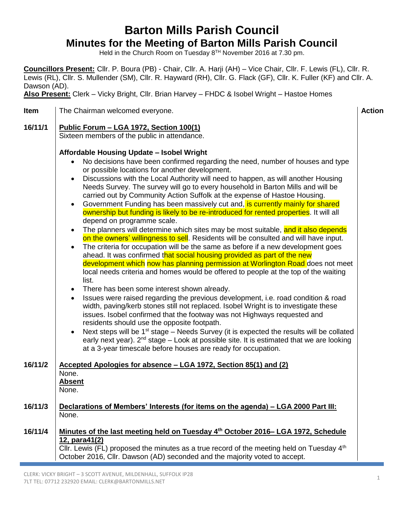### **Barton Mills Parish Council Minutes for the Meeting of Barton Mills Parish Council**

Held in the Church Room on Tuesday 8<sup>TH</sup> November 2016 at 7.30 pm.

**Councillors Present:** Cllr. P. Boura (PB) - Chair, Cllr. A. Harji (AH) – Vice Chair, Cllr. F. Lewis (FL), Cllr. R. Lewis (RL), Cllr. S. Mullender (SM), Cllr. R. Hayward (RH), Cllr. G. Flack (GF), Cllr. K. Fuller (KF) and Cllr. A. Dawson (AD).

**Also Present:** Clerk – Vicky Bright, Cllr. Brian Harvey – FHDC & Isobel Wright – Hastoe Homes

| <b>Item</b> | <b>Action</b><br>The Chairman welcomed everyone.                                                                                                                                                                                                                                                                                                                                                                                                                                                                                                                                                                                                                                                                                                                                                                                                                                                                                                                                                                                                                                                                                                                                                                                                                                                                                                                                                                                                                                                                                                                                                                                                                                                                                                                                                                                                                                           |  |  |  |  |
|-------------|--------------------------------------------------------------------------------------------------------------------------------------------------------------------------------------------------------------------------------------------------------------------------------------------------------------------------------------------------------------------------------------------------------------------------------------------------------------------------------------------------------------------------------------------------------------------------------------------------------------------------------------------------------------------------------------------------------------------------------------------------------------------------------------------------------------------------------------------------------------------------------------------------------------------------------------------------------------------------------------------------------------------------------------------------------------------------------------------------------------------------------------------------------------------------------------------------------------------------------------------------------------------------------------------------------------------------------------------------------------------------------------------------------------------------------------------------------------------------------------------------------------------------------------------------------------------------------------------------------------------------------------------------------------------------------------------------------------------------------------------------------------------------------------------------------------------------------------------------------------------------------------------|--|--|--|--|
| 16/11/1     | Public Forum - LGA 1972, Section 100(1)<br>Sixteen members of the public in attendance.                                                                                                                                                                                                                                                                                                                                                                                                                                                                                                                                                                                                                                                                                                                                                                                                                                                                                                                                                                                                                                                                                                                                                                                                                                                                                                                                                                                                                                                                                                                                                                                                                                                                                                                                                                                                    |  |  |  |  |
|             | Affordable Housing Update - Isobel Wright<br>No decisions have been confirmed regarding the need, number of houses and type<br>$\bullet$<br>or possible locations for another development.<br>Discussions with the Local Authority will need to happen, as will another Housing<br>$\bullet$<br>Needs Survey. The survey will go to every household in Barton Mills and will be<br>carried out by Community Action Suffolk at the expense of Hastoe Housing.<br>Government Funding has been massively cut and, is currently mainly for shared<br>$\bullet$<br>ownership but funding is likely to be re-introduced for rented properties. It will all<br>depend on programme scale.<br>The planners will determine which sites may be most suitable, and it also depends<br>$\bullet$<br>on the owners' willingness to sell. Residents will be consulted and will have input.<br>The criteria for occupation will be the same as before if a new development goes<br>$\bullet$<br>ahead. It was confirmed that social housing provided as part of the new<br>development which now has planning permission at Worlington Road does not meet<br>local needs criteria and homes would be offered to people at the top of the waiting<br>list.<br>There has been some interest shown already.<br>$\bullet$<br>Issues were raised regarding the previous development, i.e. road condition & road<br>$\bullet$<br>width, paving/kerb stones still not replaced. Isobel Wright is to investigate these<br>issues. Isobel confirmed that the footway was not Highways requested and<br>residents should use the opposite footpath.<br>Next steps will be $1st$ stage – Needs Survey (it is expected the results will be collated<br>early next year). $2^{nd}$ stage – Look at possible site. It is estimated that we are looking<br>at a 3-year timescale before houses are ready for occupation. |  |  |  |  |
| 16/11/2     | Accepted Apologies for absence - LGA 1972, Section 85(1) and (2)<br>None.<br><b>Absent</b><br>None.                                                                                                                                                                                                                                                                                                                                                                                                                                                                                                                                                                                                                                                                                                                                                                                                                                                                                                                                                                                                                                                                                                                                                                                                                                                                                                                                                                                                                                                                                                                                                                                                                                                                                                                                                                                        |  |  |  |  |
| 16/11/3     | Declarations of Members' Interests (for items on the agenda) - LGA 2000 Part III:<br>None.                                                                                                                                                                                                                                                                                                                                                                                                                                                                                                                                                                                                                                                                                                                                                                                                                                                                                                                                                                                                                                                                                                                                                                                                                                                                                                                                                                                                                                                                                                                                                                                                                                                                                                                                                                                                 |  |  |  |  |
| 16/11/4     | Minutes of the last meeting held on Tuesday 4th October 2016– LGA 1972, Schedule<br>12, para41(2)<br>CIIr. Lewis (FL) proposed the minutes as a true record of the meeting held on Tuesday $4th$<br>October 2016, Cllr. Dawson (AD) seconded and the majority voted to accept.                                                                                                                                                                                                                                                                                                                                                                                                                                                                                                                                                                                                                                                                                                                                                                                                                                                                                                                                                                                                                                                                                                                                                                                                                                                                                                                                                                                                                                                                                                                                                                                                             |  |  |  |  |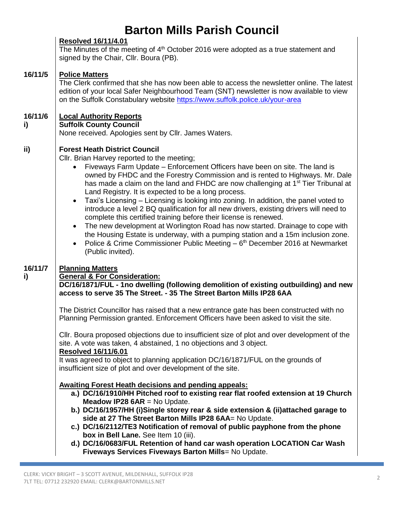|               | <b>Resolved 16/11/4.01</b><br>The Minutes of the meeting of 4 <sup>th</sup> October 2016 were adopted as a true statement and<br>signed by the Chair, Cllr. Boura (PB).                                                                                                                                                                                                                                                                                                                                                                                                                                                                                                                                                                                                                                                                                                                                                                                                                                                                                 |
|---------------|---------------------------------------------------------------------------------------------------------------------------------------------------------------------------------------------------------------------------------------------------------------------------------------------------------------------------------------------------------------------------------------------------------------------------------------------------------------------------------------------------------------------------------------------------------------------------------------------------------------------------------------------------------------------------------------------------------------------------------------------------------------------------------------------------------------------------------------------------------------------------------------------------------------------------------------------------------------------------------------------------------------------------------------------------------|
| 16/11/5       | <b>Police Matters</b><br>The Clerk confirmed that she has now been able to access the newsletter online. The latest<br>edition of your local Safer Neighbourhood Team (SNT) newsletter is now available to view<br>on the Suffolk Constabulary website https://www.suffolk.police.uk/your-area                                                                                                                                                                                                                                                                                                                                                                                                                                                                                                                                                                                                                                                                                                                                                          |
| 16/11/6<br>i) | <b>Local Authority Reports</b><br><b>Suffolk County Council</b><br>None received. Apologies sent by Cllr. James Waters.                                                                                                                                                                                                                                                                                                                                                                                                                                                                                                                                                                                                                                                                                                                                                                                                                                                                                                                                 |
| ii)           | <b>Forest Heath District Council</b><br>Cllr. Brian Harvey reported to the meeting;<br>Fiveways Farm Update - Enforcement Officers have been on site. The land is<br>$\bullet$<br>owned by FHDC and the Forestry Commission and is rented to Highways. Mr. Dale<br>has made a claim on the land and FHDC are now challenging at 1 <sup>st</sup> Tier Tribunal at<br>Land Registry. It is expected to be a long process.<br>Taxi's Licensing – Licensing is looking into zoning. In addition, the panel voted to<br>$\bullet$<br>introduce a level 2 BQ qualification for all new drivers, existing drivers will need to<br>complete this certified training before their license is renewed.<br>The new development at Worlington Road has now started. Drainage to cope with<br>$\bullet$<br>the Housing Estate is underway, with a pumping station and a 15m inclusion zone.<br>Police & Crime Commissioner Public Meeting - 6 <sup>th</sup> December 2016 at Newmarket<br>$\bullet$<br>(Public invited).                                             |
| 16/11/7<br>i) | <b>Planning Matters</b><br><b>General &amp; For Consideration:</b><br>DC/16/1871/FUL - 1no dwelling (following demolition of existing outbuilding) and new<br>access to serve 35 The Street. - 35 The Street Barton Mills IP28 6AA<br>The District Councillor has raised that a new entrance gate has been constructed with no<br>Planning Permission granted. Enforcement Officers have been asked to visit the site.<br>CIIr. Boura proposed objections due to insufficient size of plot and over development of the<br>site. A vote was taken, 4 abstained, 1 no objections and 3 object.<br>Resolved 16/11/6.01<br>It was agreed to object to planning application DC/16/1871/FUL on the grounds of<br>insufficient size of plot and over development of the site.<br><b>Awaiting Forest Heath decisions and pending appeals:</b><br>a.) DC/16/1910/HH Pitched roof to existing rear flat roofed extension at 19 Church<br><b>Meadow IP28 6AR</b> = No Update.<br>b.) DC/16/1957/HH (i)Single storey rear & side extension & (ii)attached garage to |
|               | side at 27 The Street Barton Mills IP28 6AA= No Update.<br>c.) DC/16/2112/TE3 Notification of removal of public payphone from the phone<br>box in Bell Lane. See Item 10 (iii).<br>d.) DC/16/0683/FUL Retention of hand car wash operation LOCATION Car Wash<br>Fiveways Services Fiveways Barton Mills= No Update.                                                                                                                                                                                                                                                                                                                                                                                                                                                                                                                                                                                                                                                                                                                                     |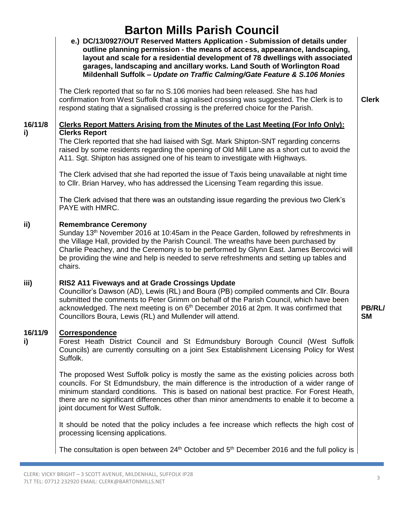|               | e.) DC/13/0927/OUT Reserved Matters Application - Submission of details under<br>outline planning permission - the means of access, appearance, landscaping,<br>layout and scale for a residential development of 78 dwellings with associated<br>garages, landscaping and ancillary works. Land South of Worlington Road<br>Mildenhall Suffolk - Update on Traffic Calming/Gate Feature & S.106 Monies<br>The Clerk reported that so far no S.106 monies had been released. She has had<br>confirmation from West Suffolk that a signalised crossing was suggested. The Clerk is to<br>respond stating that a signalised crossing is the preferred choice for the Parish. | <b>Clerk</b>               |
|---------------|----------------------------------------------------------------------------------------------------------------------------------------------------------------------------------------------------------------------------------------------------------------------------------------------------------------------------------------------------------------------------------------------------------------------------------------------------------------------------------------------------------------------------------------------------------------------------------------------------------------------------------------------------------------------------|----------------------------|
| 16/11/8<br>i) | Clerks Report Matters Arising from the Minutes of the Last Meeting (For Info Only):<br><b>Clerks Report</b><br>The Clerk reported that she had liaised with Sgt. Mark Shipton-SNT regarding concerns<br>raised by some residents regarding the opening of Old Mill Lane as a short cut to avoid the                                                                                                                                                                                                                                                                                                                                                                        |                            |
|               | A11. Sgt. Shipton has assigned one of his team to investigate with Highways.<br>The Clerk advised that she had reported the issue of Taxis being unavailable at night time<br>to Cllr. Brian Harvey, who has addressed the Licensing Team regarding this issue.                                                                                                                                                                                                                                                                                                                                                                                                            |                            |
|               | The Clerk advised that there was an outstanding issue regarding the previous two Clerk's<br>PAYE with HMRC.                                                                                                                                                                                                                                                                                                                                                                                                                                                                                                                                                                |                            |
| ii)           | <b>Remembrance Ceremony</b><br>Sunday 13 <sup>th</sup> November 2016 at 10:45am in the Peace Garden, followed by refreshments in<br>the Village Hall, provided by the Parish Council. The wreaths have been purchased by<br>Charlie Peachey, and the Ceremony is to be performed by Glynn East. James Bercovici will<br>be providing the wine and help is needed to serve refreshments and setting up tables and<br>chairs.                                                                                                                                                                                                                                                |                            |
| iii)          | RIS2 A11 Fiveways and at Grade Crossings Update<br>Councillor's Dawson (AD), Lewis (RL) and Boura (PB) compiled comments and Cllr. Boura<br>submitted the comments to Peter Grimm on behalf of the Parish Council, which have been<br>acknowledged. The next meeting is on 6 <sup>th</sup> December 2016 at 2pm. It was confirmed that<br>Councillors Boura, Lewis (RL) and Mullender will attend.                                                                                                                                                                                                                                                                         | <b>PB/RL/</b><br><b>SM</b> |
| 16/11/9<br>i) | <b>Correspondence</b><br>Forest Heath District Council and St Edmundsbury Borough Council (West Suffolk<br>Councils) are currently consulting on a joint Sex Establishment Licensing Policy for West<br>Suffolk.                                                                                                                                                                                                                                                                                                                                                                                                                                                           |                            |
|               | The proposed West Suffolk policy is mostly the same as the existing policies across both<br>councils. For St Edmundsbury, the main difference is the introduction of a wider range of<br>minimum standard conditions. This is based on national best practice. For Forest Heath,<br>there are no significant differences other than minor amendments to enable it to become a<br>joint document for West Suffolk.                                                                                                                                                                                                                                                          |                            |
|               | It should be noted that the policy includes a fee increase which reflects the high cost of<br>processing licensing applications.                                                                                                                                                                                                                                                                                                                                                                                                                                                                                                                                           |                            |
|               | The consultation is open between $24th$ October and $5th$ December 2016 and the full policy is                                                                                                                                                                                                                                                                                                                                                                                                                                                                                                                                                                             |                            |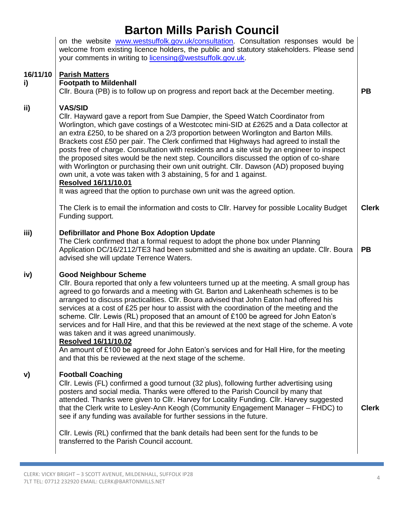|                | on the website www.westsuffolk.gov.uk/consultation. Consultation responses would be<br>welcome from existing licence holders, the public and statutory stakeholders. Please send<br>your comments in writing to licensing@westsuffolk.gov.uk.                                                                                                                                                                                                                                                                                                                                                                                                                                                                                                                                                                                           |              |
|----------------|-----------------------------------------------------------------------------------------------------------------------------------------------------------------------------------------------------------------------------------------------------------------------------------------------------------------------------------------------------------------------------------------------------------------------------------------------------------------------------------------------------------------------------------------------------------------------------------------------------------------------------------------------------------------------------------------------------------------------------------------------------------------------------------------------------------------------------------------|--------------|
| 16/11/10<br>i) | <b>Parish Matters</b><br><b>Footpath to Mildenhall</b><br>CIIr. Boura (PB) is to follow up on progress and report back at the December meeting.                                                                                                                                                                                                                                                                                                                                                                                                                                                                                                                                                                                                                                                                                         | <b>PB</b>    |
| ii)            | <b>VAS/SID</b><br>CIIr. Hayward gave a report from Sue Dampier, the Speed Watch Coordinator from<br>Worlington, which gave costings of a Westcotec mini-SID at £2625 and a Data collector at<br>an extra £250, to be shared on a 2/3 proportion between Worlington and Barton Mills.<br>Brackets cost £50 per pair. The Clerk confirmed that Highways had agreed to install the<br>posts free of charge. Consultation with residents and a site visit by an engineer to inspect<br>the proposed sites would be the next step. Councillors discussed the option of co-share<br>with Worlington or purchasing their own unit outright. Cllr. Dawson (AD) proposed buying<br>own unit, a vote was taken with 3 abstaining, 5 for and 1 against.<br><b>Resolved 16/11/10.01</b>                                                             |              |
|                | It was agreed that the option to purchase own unit was the agreed option.<br>The Clerk is to email the information and costs to Cllr. Harvey for possible Locality Budget<br>Funding support.                                                                                                                                                                                                                                                                                                                                                                                                                                                                                                                                                                                                                                           | <b>Clerk</b> |
| iii)           | Defibrillator and Phone Box Adoption Update<br>The Clerk confirmed that a formal request to adopt the phone box under Planning<br>Application DC/16/2112/TE3 had been submitted and she is awaiting an update. Cllr. Boura<br>advised she will update Terrence Waters.                                                                                                                                                                                                                                                                                                                                                                                                                                                                                                                                                                  | <b>PB</b>    |
| iv)            | <b>Good Neighbour Scheme</b><br>CIIr. Boura reported that only a few volunteers turned up at the meeting. A small group has<br>agreed to go forwards and a meeting with Gt. Barton and Lakenheath schemes is to be<br>arranged to discuss practicalities. Cllr. Boura advised that John Eaton had offered his<br>services at a cost of £25 per hour to assist with the coordination of the meeting and the<br>scheme. Cllr. Lewis (RL) proposed that an amount of £100 be agreed for John Eaton's<br>services and for Hall Hire, and that this be reviewed at the next stage of the scheme. A vote<br>was taken and it was agreed unanimously.<br><b>Resolved 16/11/10.02</b><br>An amount of £100 be agreed for John Eaton's services and for Hall Hire, for the meeting<br>and that this be reviewed at the next stage of the scheme. |              |
| V)             | <b>Football Coaching</b><br>CIIr. Lewis (FL) confirmed a good turnout (32 plus), following further advertising using<br>posters and social media. Thanks were offered to the Parish Council by many that<br>attended. Thanks were given to Cllr. Harvey for Locality Funding. Cllr. Harvey suggested<br>that the Clerk write to Lesley-Ann Keogh (Community Engagement Manager - FHDC) to<br>see if any funding was available for further sessions in the future.                                                                                                                                                                                                                                                                                                                                                                       | <b>Clerk</b> |
|                | CIIr. Lewis (RL) confirmed that the bank details had been sent for the funds to be<br>transferred to the Parish Council account.                                                                                                                                                                                                                                                                                                                                                                                                                                                                                                                                                                                                                                                                                                        |              |
|                |                                                                                                                                                                                                                                                                                                                                                                                                                                                                                                                                                                                                                                                                                                                                                                                                                                         |              |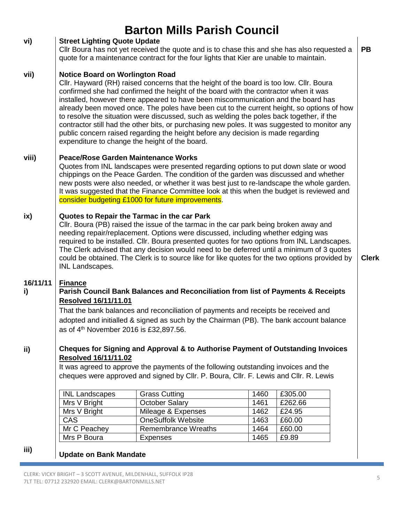|                |                                                                                                                                                                                                                                                                                                                                                                                                                                                                                                                                                  | <b>Barton Mills Parish Council</b>                                                                                                                                                                                                                                                                                                                                                                                                                                                                                                                                                                                                                                                                  |      |         |              |
|----------------|--------------------------------------------------------------------------------------------------------------------------------------------------------------------------------------------------------------------------------------------------------------------------------------------------------------------------------------------------------------------------------------------------------------------------------------------------------------------------------------------------------------------------------------------------|-----------------------------------------------------------------------------------------------------------------------------------------------------------------------------------------------------------------------------------------------------------------------------------------------------------------------------------------------------------------------------------------------------------------------------------------------------------------------------------------------------------------------------------------------------------------------------------------------------------------------------------------------------------------------------------------------------|------|---------|--------------|
| vi)            | <b>Street Lighting Quote Update</b><br><b>PB</b><br>Cllr Boura has not yet received the quote and is to chase this and she has also requested a<br>quote for a maintenance contract for the four lights that Kier are unable to maintain.                                                                                                                                                                                                                                                                                                        |                                                                                                                                                                                                                                                                                                                                                                                                                                                                                                                                                                                                                                                                                                     |      |         |              |
| vii)           | <b>Notice Board on Worlington Road</b>                                                                                                                                                                                                                                                                                                                                                                                                                                                                                                           | Cllr. Hayward (RH) raised concerns that the height of the board is too low. Cllr. Boura<br>confirmed she had confirmed the height of the board with the contractor when it was<br>installed, however there appeared to have been miscommunication and the board has<br>already been moved once. The poles have been cut to the current height, so options of how<br>to resolve the situation were discussed, such as welding the poles back together, if the<br>contractor still had the other bits, or purchasing new poles. It was suggested to monitor any<br>public concern raised regarding the height before any decision is made regarding<br>expenditure to change the height of the board. |      |         |              |
| viii)          | <b>Peace/Rose Garden Maintenance Works</b><br>Quotes from INL landscapes were presented regarding options to put down slate or wood<br>chippings on the Peace Garden. The condition of the garden was discussed and whether<br>new posts were also needed, or whether it was best just to re-landscape the whole garden.<br>It was suggested that the Finance Committee look at this when the budget is reviewed and<br>consider budgeting £1000 for future improvements.                                                                        |                                                                                                                                                                                                                                                                                                                                                                                                                                                                                                                                                                                                                                                                                                     |      |         |              |
| ix)            | Quotes to Repair the Tarmac in the car Park<br>CIIr. Boura (PB) raised the issue of the tarmac in the car park being broken away and<br>needing repair/replacement. Options were discussed, including whether edging was<br>required to be installed. Cllr. Boura presented quotes for two options from INL Landscapes.<br>The Clerk advised that any decision would need to be deferred until a minimum of 3 quotes<br>could be obtained. The Clerk is to source like for like quotes for the two options provided by<br><b>INL Landscapes.</b> |                                                                                                                                                                                                                                                                                                                                                                                                                                                                                                                                                                                                                                                                                                     |      |         | <b>Clerk</b> |
| 16/11/11<br>i) | <b>Finance</b><br>Parish Council Bank Balances and Reconciliation from list of Payments & Receipts<br><b>Resolved 16/11/11.01</b><br>That the bank balances and reconciliation of payments and receipts be received and<br>adopted and initialled & signed as such by the Chairman (PB). The bank account balance<br>as of 4 <sup>th</sup> November 2016 is £32,897.56.                                                                                                                                                                          |                                                                                                                                                                                                                                                                                                                                                                                                                                                                                                                                                                                                                                                                                                     |      |         |              |
| ii)            | Cheques for Signing and Approval & to Authorise Payment of Outstanding Invoices<br><b>Resolved 16/11/11.02</b><br>It was agreed to approve the payments of the following outstanding invoices and the<br>cheques were approved and signed by Cllr. P. Boura, Cllr. F. Lewis and Cllr. R. Lewis                                                                                                                                                                                                                                                   |                                                                                                                                                                                                                                                                                                                                                                                                                                                                                                                                                                                                                                                                                                     |      |         |              |
|                | <b>INL Landscapes</b>                                                                                                                                                                                                                                                                                                                                                                                                                                                                                                                            | <b>Grass Cutting</b>                                                                                                                                                                                                                                                                                                                                                                                                                                                                                                                                                                                                                                                                                | 1460 | £305.00 |              |
|                | Mrs V Bright                                                                                                                                                                                                                                                                                                                                                                                                                                                                                                                                     | <b>October Salary</b>                                                                                                                                                                                                                                                                                                                                                                                                                                                                                                                                                                                                                                                                               | 1461 | £262.66 |              |
|                | Mrs V Bright                                                                                                                                                                                                                                                                                                                                                                                                                                                                                                                                     | Mileage & Expenses                                                                                                                                                                                                                                                                                                                                                                                                                                                                                                                                                                                                                                                                                  | 1462 | £24.95  |              |
|                | <b>CAS</b>                                                                                                                                                                                                                                                                                                                                                                                                                                                                                                                                       | <b>OneSuffolk Website</b>                                                                                                                                                                                                                                                                                                                                                                                                                                                                                                                                                                                                                                                                           | 1463 | £60.00  |              |
|                | Mr C Peachey                                                                                                                                                                                                                                                                                                                                                                                                                                                                                                                                     | Remembrance Wreaths                                                                                                                                                                                                                                                                                                                                                                                                                                                                                                                                                                                                                                                                                 | 1464 | £60.00  |              |
|                | Mrs P Boura                                                                                                                                                                                                                                                                                                                                                                                                                                                                                                                                      | <b>Expenses</b>                                                                                                                                                                                                                                                                                                                                                                                                                                                                                                                                                                                                                                                                                     | 1465 | £9.89   |              |
| iii)           | <b>Update on Bank Mandate</b>                                                                                                                                                                                                                                                                                                                                                                                                                                                                                                                    |                                                                                                                                                                                                                                                                                                                                                                                                                                                                                                                                                                                                                                                                                                     |      |         |              |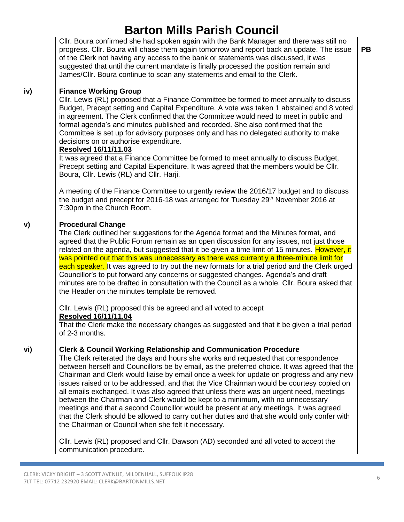Cllr. Boura confirmed she had spoken again with the Bank Manager and there was still no progress. Cllr. Boura will chase them again tomorrow and report back an update. The issue of the Clerk not having any access to the bank or statements was discussed, it was suggested that until the current mandate is finally processed the position remain and James/Cllr. Boura continue to scan any statements and email to the Clerk.

### **Finance Working Group**

**iv)**

Cllr. Lewis (RL) proposed that a Finance Committee be formed to meet annually to discuss Budget, Precept setting and Capital Expenditure. A vote was taken 1 abstained and 8 voted in agreement. The Clerk confirmed that the Committee would need to meet in public and formal agenda's and minutes published and recorded. She also confirmed that the Committee is set up for advisory purposes only and has no delegated authority to make decisions on or authorise expenditure.

### **Resolved 16/11/11.03**

It was agreed that a Finance Committee be formed to meet annually to discuss Budget, Precept setting and Capital Expenditure. It was agreed that the members would be Cllr. Boura, Cllr. Lewis (RL) and Cllr. Harji.

A meeting of the Finance Committee to urgently review the 2016/17 budget and to discuss the budget and precept for 2016-18 was arranged for Tuesday 29<sup>th</sup> November 2016 at 7:30pm in the Church Room.

#### **v) Procedural Change**

The Clerk outlined her suggestions for the Agenda format and the Minutes format, and agreed that the Public Forum remain as an open discussion for any issues, not just those related on the agenda, but suggested that it be given a time limit of 15 minutes. However, it was pointed out that this was unnecessary as there was currently a three-minute limit for each speaker. It was agreed to try out the new formats for a trial period and the Clerk urged Councillor's to put forward any concerns or suggested changes. Agenda's and draft minutes are to be drafted in consultation with the Council as a whole. Cllr. Boura asked that the Header on the minutes template be removed.

Cllr. Lewis (RL) proposed this be agreed and all voted to accept **Resolved 16/11/11.04**

That the Clerk make the necessary changes as suggested and that it be given a trial period of 2-3 months.

#### **vi) Clerk & Council Working Relationship and Communication Procedure**

The Clerk reiterated the days and hours she works and requested that correspondence between herself and Councillors be by email, as the preferred choice. It was agreed that the Chairman and Clerk would liaise by email once a week for update on progress and any new issues raised or to be addressed, and that the Vice Chairman would be courtesy copied on all emails exchanged. It was also agreed that unless there was an urgent need, meetings between the Chairman and Clerk would be kept to a minimum, with no unnecessary meetings and that a second Councillor would be present at any meetings. It was agreed that the Clerk should be allowed to carry out her duties and that she would only confer with the Chairman or Council when she felt it necessary.

Cllr. Lewis (RL) proposed and Cllr. Dawson (AD) seconded and all voted to accept the communication procedure.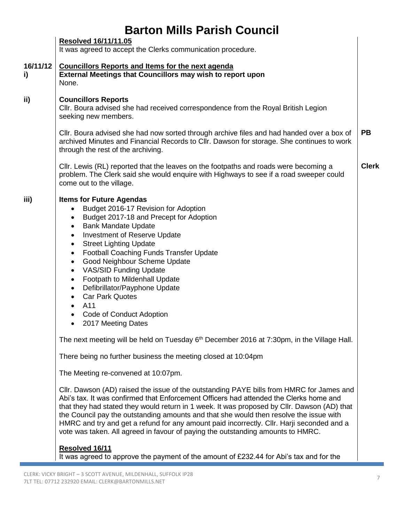|  | <b>Barton Mills Parish Council</b> |
|--|------------------------------------|
|  |                                    |

|                | <b>Resolved 16/11/11.05</b><br>It was agreed to accept the Clerks communication procedure.                                                                                                                                                                                                                                                                                                                                                                                                                                                                                                                                                                                                                                                                                                                                                                                                                                                                                                                                                                                                                                                                                                                                                                                                                                                                                                                                            |              |  |
|----------------|---------------------------------------------------------------------------------------------------------------------------------------------------------------------------------------------------------------------------------------------------------------------------------------------------------------------------------------------------------------------------------------------------------------------------------------------------------------------------------------------------------------------------------------------------------------------------------------------------------------------------------------------------------------------------------------------------------------------------------------------------------------------------------------------------------------------------------------------------------------------------------------------------------------------------------------------------------------------------------------------------------------------------------------------------------------------------------------------------------------------------------------------------------------------------------------------------------------------------------------------------------------------------------------------------------------------------------------------------------------------------------------------------------------------------------------|--------------|--|
| 16/11/12<br>i) | <b>Councillors Reports and Items for the next agenda</b><br>External Meetings that Councillors may wish to report upon<br>None.                                                                                                                                                                                                                                                                                                                                                                                                                                                                                                                                                                                                                                                                                                                                                                                                                                                                                                                                                                                                                                                                                                                                                                                                                                                                                                       |              |  |
| ii)            | <b>Councillors Reports</b><br>CIIr. Boura advised she had received correspondence from the Royal British Legion<br>seeking new members.                                                                                                                                                                                                                                                                                                                                                                                                                                                                                                                                                                                                                                                                                                                                                                                                                                                                                                                                                                                                                                                                                                                                                                                                                                                                                               |              |  |
|                | CIIr. Boura advised she had now sorted through archive files and had handed over a box of<br>archived Minutes and Financial Records to Cllr. Dawson for storage. She continues to work<br>through the rest of the archiving.                                                                                                                                                                                                                                                                                                                                                                                                                                                                                                                                                                                                                                                                                                                                                                                                                                                                                                                                                                                                                                                                                                                                                                                                          | <b>PB</b>    |  |
|                | CIIr. Lewis (RL) reported that the leaves on the footpaths and roads were becoming a<br>problem. The Clerk said she would enquire with Highways to see if a road sweeper could<br>come out to the village.                                                                                                                                                                                                                                                                                                                                                                                                                                                                                                                                                                                                                                                                                                                                                                                                                                                                                                                                                                                                                                                                                                                                                                                                                            | <b>Clerk</b> |  |
| iii)           | <b>Items for Future Agendas</b><br>Budget 2016-17 Revision for Adoption<br>$\bullet$<br>Budget 2017-18 and Precept for Adoption<br>٠<br><b>Bank Mandate Update</b><br>٠<br><b>Investment of Reserve Update</b><br>$\bullet$<br><b>Street Lighting Update</b><br>$\bullet$<br><b>Football Coaching Funds Transfer Update</b><br>$\bullet$<br>Good Neighbour Scheme Update<br>$\bullet$<br><b>VAS/SID Funding Update</b><br>$\bullet$<br>Footpath to Mildenhall Update<br>$\bullet$<br>Defibrillator/Payphone Update<br>$\bullet$<br><b>Car Park Quotes</b><br>٠<br>A11<br>$\bullet$<br>Code of Conduct Adoption<br>$\bullet$<br>2017 Meeting Dates<br>$\bullet$<br>The next meeting will be held on Tuesday $6th$ December 2016 at 7:30pm, in the Village Hall.<br>There being no further business the meeting closed at 10:04pm<br>The Meeting re-convened at 10:07pm.<br>Cllr. Dawson (AD) raised the issue of the outstanding PAYE bills from HMRC for James and<br>Abi's tax. It was confirmed that Enforcement Officers had attended the Clerks home and<br>that they had stated they would return in 1 week. It was proposed by Cllr. Dawson (AD) that<br>the Council pay the outstanding amounts and that she would then resolve the issue with<br>HMRC and try and get a refund for any amount paid incorrectly. Cllr. Harji seconded and a<br>vote was taken. All agreed in favour of paying the outstanding amounts to HMRC. |              |  |
|                | Resolved 16/11<br>It was agreed to approve the payment of the amount of £232.44 for Abi's tax and for the                                                                                                                                                                                                                                                                                                                                                                                                                                                                                                                                                                                                                                                                                                                                                                                                                                                                                                                                                                                                                                                                                                                                                                                                                                                                                                                             |              |  |